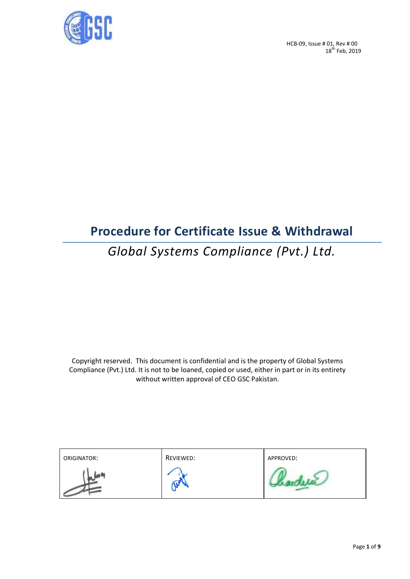

HCB-09, Issue # 01, Rev # 00  $18^{\text{th}}$  Feb, 2019

## **Procedure for Certificate Issue & Withdrawal**

# *Global Systems Compliance (Pvt.) Ltd.*

Copyright reserved. This document is confidential and is the property of Global Systems Compliance (Pvt.) Ltd. It is not to be loaned, copied or used, either in part or in its entirety without written approval of CEO GSC Pakistan.

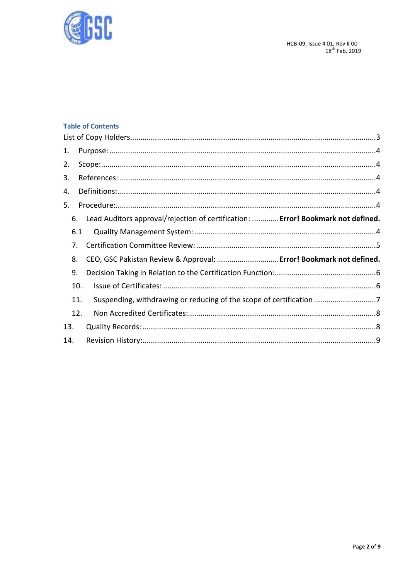

## **Table of Contents**

| 1.  |                                                                                     |  |
|-----|-------------------------------------------------------------------------------------|--|
| 2.  |                                                                                     |  |
| 3.  |                                                                                     |  |
| 4.  |                                                                                     |  |
| 5.  |                                                                                     |  |
|     | 6. Lead Auditors approval/rejection of certification:  Error! Bookmark not defined. |  |
| 6.1 |                                                                                     |  |
| 7.  |                                                                                     |  |
| 8.  | CEO, GSC Pakistan Review & Approval:  Error! Bookmark not defined.                  |  |
| 9.  |                                                                                     |  |
| 10. |                                                                                     |  |
| 11. | Suspending, withdrawing or reducing of the scope of certification 7                 |  |
| 12. |                                                                                     |  |
| 13. |                                                                                     |  |
| 14. |                                                                                     |  |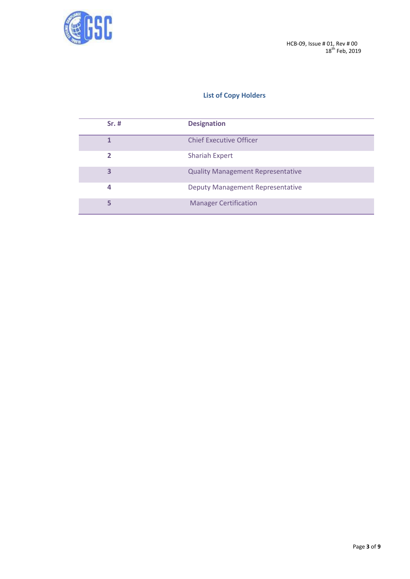

## **List of Copy Holders**

<span id="page-2-0"></span>

| $Sr.$ # | <b>Designation</b>                       |
|---------|------------------------------------------|
|         | <b>Chief Executive Officer</b>           |
| 2       | <b>Shariah Expert</b>                    |
| 3       | <b>Quality Management Representative</b> |
| 4       | <b>Deputy Management Representative</b>  |
| 5       | <b>Manager Certification</b>             |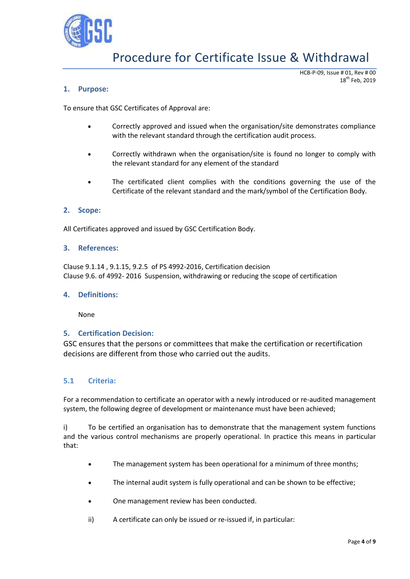

HCB-P-09, Issue # 01, Rev # 00 18<sup>th</sup> Feb, 2019

#### <span id="page-3-0"></span>**1. Purpose:**

To ensure that GSC Certificates of Approval are:

- Correctly approved and issued when the organisation/site demonstrates compliance with the relevant standard through the certification audit process.
- Correctly withdrawn when the organisation/site is found no longer to comply with the relevant standard for any element of the standard
- The certificated client complies with the conditions governing the use of the Certificate of the relevant standard and the mark/symbol of the Certification Body.

#### <span id="page-3-1"></span>**2. Scope:**

All Certificates approved and issued by GSC Certification Body.

#### <span id="page-3-2"></span>**3. References:**

Clause 9.1.14 , 9.1.15, 9.2.5 of PS 4992-2016, Certification decision Clause 9.6. of 4992- 2016 Suspension, withdrawing or reducing the scope of certification

#### <span id="page-3-3"></span>**4. Definitions:**

None

#### <span id="page-3-4"></span>**5. Certification Decision:**

GSC ensures that the persons or committees that make the certification or recertification decisions are different from those who carried out the audits.

#### <span id="page-3-5"></span>**5.1 Criteria:**

For a recommendation to certificate an operator with a newly introduced or re-audited management system, the following degree of development or maintenance must have been achieved;

i) To be certified an organisation has to demonstrate that the management system functions and the various control mechanisms are properly operational. In practice this means in particular that:

- The management system has been operational for a minimum of three months;
- The internal audit system is fully operational and can be shown to be effective;
- One management review has been conducted.
- ii) A certificate can only be issued or re-issued if, in particular: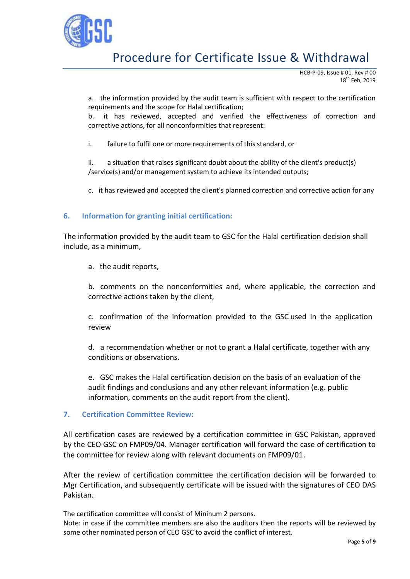

HCB-P-09, Issue # 01, Rev # 00  $18^{\text{th}}$  Feb, 2019

a. the information provided by the audit team is sufficient with respect to the certification requirements and the scope for Halal certification;

b. it has reviewed, accepted and verified the effectiveness of correction and corrective actions, for all nonconformities that represent:

i. failure to fulfil one or more requirements of this standard, or

ii. a situation that raises significant doubt about the ability of the client's product(s) /service(s) and/or management system to achieve its intended outputs;

c. it has reviewed and accepted the client's planned correction and corrective action for any

### <span id="page-4-0"></span>**6. Information for granting initial certification:**

The information provided by the audit team to GSC for the Halal certification decision shall include, as a minimum,

a. the audit reports,

b. comments on the nonconformities and, where applicable, the correction and corrective actions taken by the client,

c. confirmation of the information provided to the GSC used in the application review

d. a recommendation whether or not to grant a Halal certificate, together with any conditions or observations.

e. GSC makes the Halal certification decision on the basis of an evaluation of the audit findings and conclusions and any other relevant information (e.g. public information, comments on the audit report from the client).

#### **7. Certification Committee Review:**

All certification cases are reviewed by a certification committee in GSC Pakistan, approved by the CEO GSC on FMP09/04. Manager certification will forward the case of certification to the committee for review along with relevant documents on FMP09/01.

After the review of certification committee the certification decision will be forwarded to Mgr Certification, and subsequently certificate will be issued with the signatures of CEO DAS Pakistan.

The certification committee will consist of Mininum 2 persons.

Note: in case if the committee members are also the auditors then the reports will be reviewed by some other nominated person of CEO GSC to avoid the conflict of interest.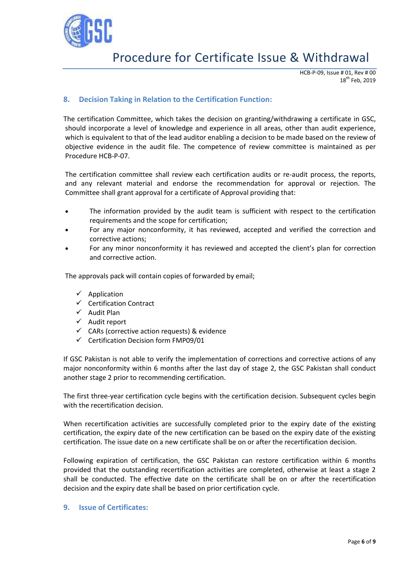

HCB-P-09, Issue # 01, Rev # 00 18<sup>th</sup> Feb. 2019

## <span id="page-5-0"></span>**8. Decision Taking in Relation to the Certification Function:**

The certification Committee, which takes the decision on granting/withdrawing a certificate in GSC, should incorporate a level of knowledge and experience in all areas, other than audit experience, which is equivalent to that of the lead auditor enabling a decision to be made based on the review of objective evidence in the audit file. The competence of review committee is maintained as per Procedure HCB-P-07.

The certification committee shall review each certification audits or re-audit process, the reports, and any relevant material and endorse the recommendation for approval or rejection. The Committee shall grant approval for a certificate of Approval providing that:

- The information provided by the audit team is sufficient with respect to the certification requirements and the scope for certification;
- For any major nonconformity, it has reviewed, accepted and verified the correction and corrective actions;
- For any minor nonconformity it has reviewed and accepted the client's plan for correction and corrective action.

The approvals pack will contain copies of forwarded by email;

- $\checkmark$  Application
- $\checkmark$  Certification Contract
- $\checkmark$  Audit Plan
- $\checkmark$  Audit report
- $\checkmark$  CARs (corrective action requests) & evidence
- $\checkmark$  Certification Decision form FMP09/01

If GSC Pakistan is not able to verify the implementation of corrections and corrective actions of any major nonconformity within 6 months after the last day of stage 2, the GSC Pakistan shall conduct another stage 2 prior to recommending certification.

The first three-year certification cycle begins with the certification decision. Subsequent cycles begin with the recertification decision.

When recertification activities are successfully completed prior to the expiry date of the existing certification, the expiry date of the new certification can be based on the expiry date of the existing certification. The issue date on a new certificate shall be on or after the recertification decision.

Following expiration of certification, the GSC Pakistan can restore certification within 6 months provided that the outstanding recertification activities are completed, otherwise at least a stage 2 shall be conducted. The effective date on the certificate shall be on or after the recertification decision and the expiry date shall be based on prior certification cycle.

#### <span id="page-5-1"></span>**9. Issue of Certificates:**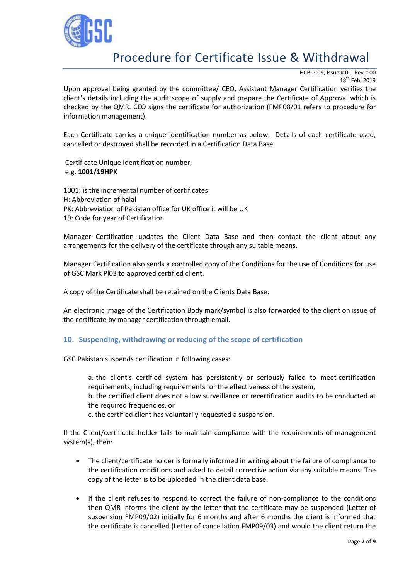

HCB-P-09, Issue # 01, Rev # 00 18<sup>th</sup> Feb. 2019

Upon approval being granted by the committee/ CEO, Assistant Manager Certification verifies the client's details including the audit scope of supply and prepare the Certificate of Approval which is checked by the QMR. CEO signs the certificate for authorization (FMP08/01 refers to procedure for information management).

Each Certificate carries a unique identification number as below. Details of each certificate used, cancelled or destroyed shall be recorded in a Certification Data Base.

Certificate Unique Identification number; e.g. **1001/19HPK**

1001: is the incremental number of certificates H: Abbreviation of halal PK: Abbreviation of Pakistan office for UK office it will be UK 19: Code for year of Certification

Manager Certification updates the Client Data Base and then contact the client about any arrangements for the delivery of the certificate through any suitable means.

Manager Certification also sends a controlled copy of the Conditions for the use of Conditions for use of GSC Mark Pl03 to approved certified client.

A copy of the Certificate shall be retained on the Clients Data Base.

An electronic image of the Certification Body mark/symbol is also forwarded to the client on issue of the certificate by manager certification through email.

### <span id="page-6-0"></span>**10. Suspending, withdrawing or reducing of the scope of certification**

GSC Pakistan suspends certification in following cases:

a. the client's certified system has persistently or seriously failed to meet certification requirements, including requirements for the effectiveness of the system,

b. the certified client does not allow surveillance or recertification audits to be conducted at the required frequencies, or

c. the certified client has voluntarily requested a suspension.

If the Client/certificate holder fails to maintain compliance with the requirements of management system(s), then:

- The client/certificate holder is formally informed in writing about the failure of compliance to the certification conditions and asked to detail corrective action via any suitable means. The copy of the letter is to be uploaded in the client data base.
- If the client refuses to respond to correct the failure of non-compliance to the conditions then QMR informs the client by the letter that the certificate may be suspended (Letter of suspension FMP09/02) initially for 6 months and after 6 months the client is informed that the certificate is cancelled (Letter of cancellation FMP09/03) and would the client return the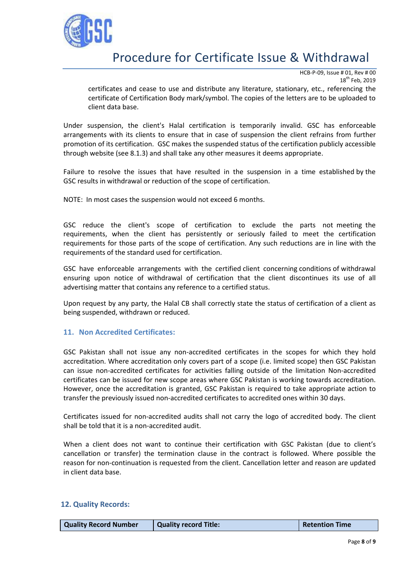

HCB-P-09, Issue # 01, Rev # 00 18<sup>th</sup> Feb. 2019

certificates and cease to use and distribute any literature, stationary, etc., referencing the certificate of Certification Body mark/symbol. The copies of the letters are to be uploaded to client data base.

Under suspension, the client's Halal certification is temporarily invalid. GSC has enforceable arrangements with its clients to ensure that in case of suspension the client refrains from further promotion of its certification. GSC makes the suspended status of the certification publicly accessible through website (see 8.1.3) and shall take any other measures it deems appropriate.

Failure to resolve the issues that have resulted in the suspension in a time established by the GSC results in withdrawal or reduction of the scope of certification.

NOTE: In most cases the suspension would not exceed 6 months.

GSC reduce the client's scope of certification to exclude the parts not meeting the requirements, when the client has persistently or seriously failed to meet the certification requirements for those parts of the scope of certification. Any such reductions are in line with the requirements of the standard used for certification.

GSC have enforceable arrangements with the certified client concerning conditions of withdrawal ensuring upon notice of withdrawal of certification that the client discontinues its use of all advertising matter that contains any reference to a certified status.

Upon request by any party, the Halal CB shall correctly state the status of certification of a client as being suspended, withdrawn or reduced.

#### <span id="page-7-0"></span>**11. Non Accredited Certificates:**

GSC Pakistan shall not issue any non-accredited certificates in the scopes for which they hold accreditation. Where accreditation only covers part of a scope (i.e. limited scope) then GSC Pakistan can issue non-accredited certificates for activities falling outside of the limitation Non-accredited certificates can be issued for new scope areas where GSC Pakistan is working towards accreditation. However, once the accreditation is granted, GSC Pakistan is required to take appropriate action to transfer the previously issued non-accredited certificates to accredited ones within 30 days.

Certificates issued for non-accredited audits shall not carry the logo of accredited body. The client shall be told that it is a non-accredited audit.

When a client does not want to continue their certification with GSC Pakistan (due to client's cancellation or transfer) the termination clause in the contract is followed. Where possible the reason for non-continuation is requested from the client. Cancellation letter and reason are updated in client data base.

#### <span id="page-7-1"></span>**12. Quality Records:**

| <b>Quality Record Number</b> | Quality record Title: | <b>Retention Time</b> |
|------------------------------|-----------------------|-----------------------|
|                              |                       |                       |